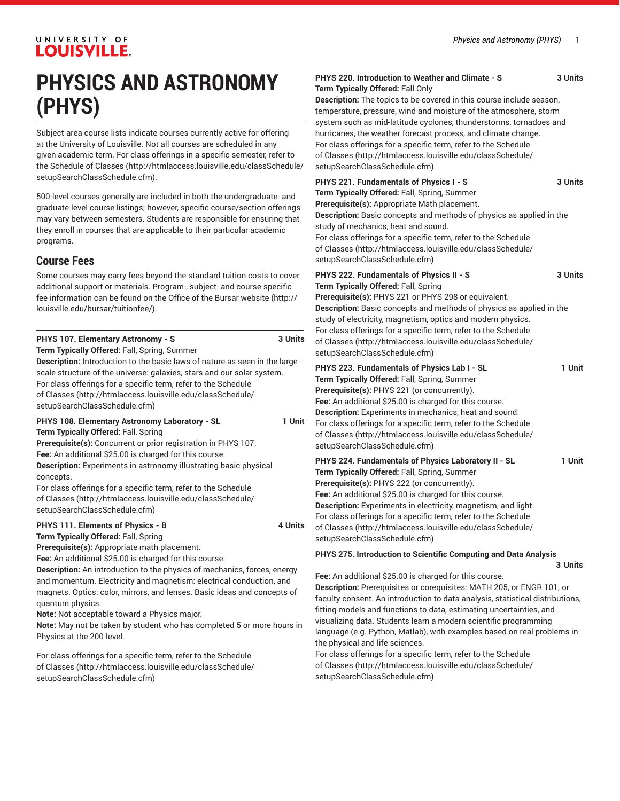# UNIVERSITY OF **LOUISVILLE.**

# **PHYSICS AND ASTRONOMY (PHYS)**

Subject-area course lists indicate courses currently active for offering at the University of Louisville. Not all courses are scheduled in any given academic term. For class offerings in a specific semester, refer to the [Schedule of Classes](http://htmlaccess.louisville.edu/classSchedule/setupSearchClassSchedule.cfm) ([http://htmlaccess.louisville.edu/classSchedule/](http://htmlaccess.louisville.edu/classSchedule/setupSearchClassSchedule.cfm) [setupSearchClassSchedule.cfm\)](http://htmlaccess.louisville.edu/classSchedule/setupSearchClassSchedule.cfm).

500-level courses generally are included in both the undergraduate- and graduate-level course listings; however, specific course/section offerings may vary between semesters. Students are responsible for ensuring that they enroll in courses that are applicable to their particular academic programs.

# **Course Fees**

Some courses may carry fees beyond the standard tuition costs to cover additional support or materials. Program-, subject- and course-specific fee information can be found on the [Office of the Bursar website](http://louisville.edu/bursar/tuitionfee/) ([http://](http://louisville.edu/bursar/tuitionfee/) [louisville.edu/bursar/tuitionfee/](http://louisville.edu/bursar/tuitionfee/)).

| PHYS 107. Elementary Astronomy - S                                          | 3 Units |
|-----------------------------------------------------------------------------|---------|
| Term Typically Offered: Fall, Spring, Summer                                |         |
| Description: Introduction to the basic laws of nature as seen in the large- |         |
| scale structure of the universe: galaxies, stars and our solar system.      |         |
| For class offerings for a specific term, refer to the Schedule              |         |
| of Classes (http://htmlaccess.louisville.edu/classSchedule/                 |         |
| setupSearchClassSchedule.cfm)                                               |         |

# **PHYS 108. Elementary Astronomy Laboratory - SL 1 Unit Term Typically Offered:** Fall, Spring

**Prerequisite(s):** Concurrent or prior registration in PHYS 107.

**Fee:** An additional \$25.00 is charged for this course.

**Description:** Experiments in astronomy illustrating basic physical concepts.

For class offerings for a specific term, refer to the [Schedule](http://htmlaccess.louisville.edu/classSchedule/setupSearchClassSchedule.cfm) [of Classes \(http://htmlaccess.louisville.edu/classSchedule/](http://htmlaccess.louisville.edu/classSchedule/setupSearchClassSchedule.cfm) [setupSearchClassSchedule.cfm\)](http://htmlaccess.louisville.edu/classSchedule/setupSearchClassSchedule.cfm)

## **PHYS 111. Elements of Physics - B 4 Units**

**Term Typically Offered:** Fall, Spring

**Prerequisite(s):** Appropriate math placement.

**Fee:** An additional \$25.00 is charged for this course.

**Description:** An introduction to the physics of mechanics, forces, energy and momentum. Electricity and magnetism: electrical conduction, and magnets. Optics: color, mirrors, and lenses. Basic ideas and concepts of quantum physics.

**Note:** Not acceptable toward a Physics major.

**Note:** May not be taken by student who has completed 5 or more hours in Physics at the 200-level.

For class offerings for a specific term, refer to the [Schedule](http://htmlaccess.louisville.edu/classSchedule/setupSearchClassSchedule.cfm) [of Classes \(http://htmlaccess.louisville.edu/classSchedule/](http://htmlaccess.louisville.edu/classSchedule/setupSearchClassSchedule.cfm) [setupSearchClassSchedule.cfm\)](http://htmlaccess.louisville.edu/classSchedule/setupSearchClassSchedule.cfm)

| PHYS 220. Introduction to Weather and Climate - S | 3 Units |
|---------------------------------------------------|---------|
| Term Typically Offered: Fall Only                 |         |

**Description:** The topics to be covered in this course include season, temperature, pressure, wind and moisture of the atmosphere, storm system such as mid-latitude cyclones, thunderstorms, tornadoes and hurricanes, the weather forecast process, and climate change. For class offerings for a specific term, refer to the [Schedule](http://htmlaccess.louisville.edu/classSchedule/setupSearchClassSchedule.cfm) [of Classes](http://htmlaccess.louisville.edu/classSchedule/setupSearchClassSchedule.cfm) ([http://htmlaccess.louisville.edu/classSchedule/](http://htmlaccess.louisville.edu/classSchedule/setupSearchClassSchedule.cfm) [setupSearchClassSchedule.cfm\)](http://htmlaccess.louisville.edu/classSchedule/setupSearchClassSchedule.cfm)

| PHYS 221. Fundamentals of Physics I - S                                                                                                                                                                                                                                                                                                                                                                                                           | 3 Units |
|---------------------------------------------------------------------------------------------------------------------------------------------------------------------------------------------------------------------------------------------------------------------------------------------------------------------------------------------------------------------------------------------------------------------------------------------------|---------|
| Term Typically Offered: Fall, Spring, Summer                                                                                                                                                                                                                                                                                                                                                                                                      |         |
| Prerequisite(s): Appropriate Math placement.<br>Description: Basic concepts and methods of physics as applied in the<br>study of mechanics, heat and sound.<br>For class offerings for a specific term, refer to the Schedule<br>of Classes (http://htmlaccess.louisville.edu/classSchedule/<br>setupSearchClassSchedule.cfm)                                                                                                                     |         |
| PHYS 222. Fundamentals of Physics II - S<br>Term Typically Offered: Fall, Spring<br>Prerequisite(s): PHYS 221 or PHYS 298 or equivalent.<br>Description: Basic concepts and methods of physics as applied in the<br>study of electricity, magnetism, optics and modern physics.<br>For class offerings for a specific term, refer to the Schedule<br>of Classes (http://htmlaccess.louisville.edu/classSchedule/<br>setupSearchClassSchedule.cfm) | 3 Units |
| PHYS 223. Fundamentals of Physics Lab I - SL<br>Term Typically Offered: Fall, Spring, Summer<br>Prerequisite(s): PHYS 221 (or concurrently).<br>Fee: An additional \$25.00 is charged for this course.<br><b>Description:</b> Experiments in mechanics, heat and sound.<br>For class offerings for a specific term, refer to the Schedule<br>of Classes (http://htmlaccess.louisville.edu/classSchedule/<br>setupSearchClassSchedule.cfm)         | 1 Unit  |
| PHYS 224. Fundamentals of Physics Laboratory II - SL<br>Term Typically Offered: Fall, Spring, Summer<br>Prerequisite(s): PHYS 222 (or concurrently).<br>Fee: An additional \$25.00 is charged for this course.<br>Description: Experiments in electricity, magnetism, and light.<br>For class offerings for a specific term, refer to the Schedule                                                                                                | 1 Unit  |

[of Classes](http://htmlaccess.louisville.edu/classSchedule/setupSearchClassSchedule.cfm) ([http://htmlaccess.louisville.edu/classSchedule/](http://htmlaccess.louisville.edu/classSchedule/setupSearchClassSchedule.cfm) [setupSearchClassSchedule.cfm\)](http://htmlaccess.louisville.edu/classSchedule/setupSearchClassSchedule.cfm)

**PHYS 275. Introduction to Scientific Computing and Data Analysis**

**3 Units**

**Fee:** An additional \$25.00 is charged for this course. **Description:** Prerequisites or corequisites: MATH 205, or ENGR 101; or faculty consent. An introduction to data analysis, statistical distributions, fitting models and functions to data, estimating uncertainties, and visualizing data. Students learn a modern scientific programming language (e.g. Python, Matlab), with examples based on real problems in the physical and life sciences.

For class offerings for a specific term, refer to the [Schedule](http://htmlaccess.louisville.edu/classSchedule/setupSearchClassSchedule.cfm) [of Classes](http://htmlaccess.louisville.edu/classSchedule/setupSearchClassSchedule.cfm) ([http://htmlaccess.louisville.edu/classSchedule/](http://htmlaccess.louisville.edu/classSchedule/setupSearchClassSchedule.cfm) [setupSearchClassSchedule.cfm\)](http://htmlaccess.louisville.edu/classSchedule/setupSearchClassSchedule.cfm)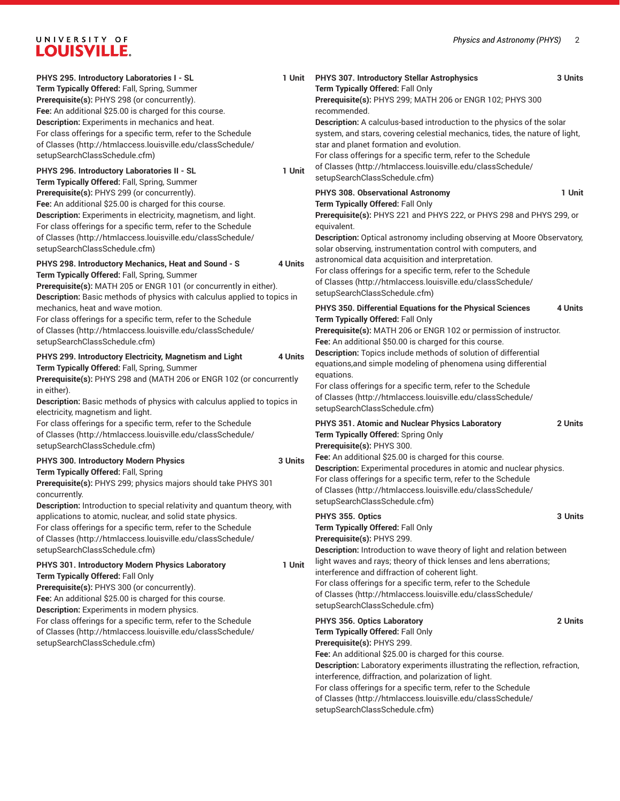# UNIVERSITY OF LOUISVILLE.

| PHYS 295. Introductory Laboratories I - SL<br>Term Typically Offered: Fall, Spring, Summer<br>Prerequisite(s): PHYS 298 (or concurrently).<br>Fee: An additional \$25.00 is charged for this course.<br>Description: Experiments in mechanics and heat.<br>For class offerings for a specific term, refer to the Schedule<br>of Classes (http://htmlaccess.louisville.edu/classSchedule/<br>setupSearchClassSchedule.cfm)<br>PHYS 296. Introductory Laboratories II - SL<br>Term Typically Offered: Fall, Spring, Summer                                                                                                                                                                                                      | 1 Unit<br>1 Unit | PHYS 307. Introductory Stellar Astrophysics<br>Term Typically Offered: Fall Only<br>Prerequisite(s): PHYS 299; MATH 206 or ENGR 102; PHYS 300<br>recommended.<br>Description: A calculus-based introduction to the physics of the solar<br>system, and stars, covering celestial mechanics, tides, the nature of light,<br>star and planet formation and evolution.<br>For class offerings for a specific term, refer to the Schedule<br>of Classes (http://htmlaccess.louisville.edu/classSchedule/<br>setupSearchClassSchedule.cfm) | 3 Units |
|-------------------------------------------------------------------------------------------------------------------------------------------------------------------------------------------------------------------------------------------------------------------------------------------------------------------------------------------------------------------------------------------------------------------------------------------------------------------------------------------------------------------------------------------------------------------------------------------------------------------------------------------------------------------------------------------------------------------------------|------------------|---------------------------------------------------------------------------------------------------------------------------------------------------------------------------------------------------------------------------------------------------------------------------------------------------------------------------------------------------------------------------------------------------------------------------------------------------------------------------------------------------------------------------------------|---------|
| Prerequisite(s): PHYS 299 (or concurrently).<br>Fee: An additional \$25.00 is charged for this course.<br>Description: Experiments in electricity, magnetism, and light.<br>For class offerings for a specific term, refer to the Schedule<br>of Classes (http://htmlaccess.louisville.edu/classSchedule/<br>setupSearchClassSchedule.cfm)                                                                                                                                                                                                                                                                                                                                                                                    |                  | PHYS 308. Observational Astronomy<br>Term Typically Offered: Fall Only<br>Prerequisite(s): PHYS 221 and PHYS 222, or PHYS 298 and PHYS 299, or<br>equivalent.<br><b>Description:</b> Optical astronomy including observing at Moore Observatory,<br>solar observing, instrumentation control with computers, and                                                                                                                                                                                                                      | 1 Unit  |
| 4 Units<br>PHYS 298. Introductory Mechanics, Heat and Sound - S<br>Term Typically Offered: Fall, Spring, Summer<br>Prerequisite(s): MATH 205 or ENGR 101 (or concurrently in either).<br>Description: Basic methods of physics with calculus applied to topics in                                                                                                                                                                                                                                                                                                                                                                                                                                                             |                  | astronomical data acquisition and interpretation.<br>For class offerings for a specific term, refer to the Schedule<br>of Classes (http://htmlaccess.louisville.edu/classSchedule/<br>setupSearchClassSchedule.cfm)                                                                                                                                                                                                                                                                                                                   |         |
| mechanics, heat and wave motion.<br>For class offerings for a specific term, refer to the Schedule<br>of Classes (http://htmlaccess.louisville.edu/classSchedule/<br>setupSearchClassSchedule.cfm)                                                                                                                                                                                                                                                                                                                                                                                                                                                                                                                            |                  | PHYS 350. Differential Equations for the Physical Sciences<br>Term Typically Offered: Fall Only<br>Prerequisite(s): MATH 206 or ENGR 102 or permission of instructor.<br>Fee: An additional \$50.00 is charged for this course.                                                                                                                                                                                                                                                                                                       | 4 Units |
| PHYS 299. Introductory Electricity, Magnetism and Light<br>4 Units<br>Term Typically Offered: Fall, Spring, Summer<br>Prerequisite(s): PHYS 298 and (MATH 206 or ENGR 102 (or concurrently<br>in either).<br>Description: Basic methods of physics with calculus applied to topics in<br>electricity, magnetism and light.                                                                                                                                                                                                                                                                                                                                                                                                    |                  | Description: Topics include methods of solution of differential<br>equations, and simple modeling of phenomena using differential<br>equations.<br>For class offerings for a specific term, refer to the Schedule<br>of Classes (http://htmlaccess.louisville.edu/classSchedule/<br>setupSearchClassSchedule.cfm)                                                                                                                                                                                                                     |         |
| For class offerings for a specific term, refer to the Schedule<br>of Classes (http://htmlaccess.louisville.edu/classSchedule/<br>setupSearchClassSchedule.cfm)                                                                                                                                                                                                                                                                                                                                                                                                                                                                                                                                                                |                  | PHYS 351. Atomic and Nuclear Physics Laboratory<br>Term Typically Offered: Spring Only<br>Prerequisite(s): PHYS 300.                                                                                                                                                                                                                                                                                                                                                                                                                  | 2 Units |
| PHYS 300. Introductory Modern Physics<br>Term Typically Offered: Fall, Spring<br>Prerequisite(s): PHYS 299; physics majors should take PHYS 301<br>concurrently.<br>Description: Introduction to special relativity and quantum theory, with<br>applications to atomic, nuclear, and solid state physics.<br>For class offerings for a specific term, refer to the Schedule<br>of Classes (http://htmlaccess.louisville.edu/classSchedule/<br>setupSearchClassSchedule.cfm)<br>PHYS 301. Introductory Modern Physics Laboratory<br>Term Typically Offered: Fall Only<br>Prerequisite(s): PHYS 300 (or concurrently).<br>Fee: An additional \$25.00 is charged for this course.<br>Description: Experiments in modern physics. | 3 Units          | Fee: An additional \$25.00 is charged for this course.<br>Description: Experimental procedures in atomic and nuclear physics.<br>For class offerings for a specific term, refer to the Schedule<br>of Classes (http://htmlaccess.louisville.edu/classSchedule/<br>setupSearchClassSchedule.cfm)                                                                                                                                                                                                                                       |         |
|                                                                                                                                                                                                                                                                                                                                                                                                                                                                                                                                                                                                                                                                                                                               |                  | PHYS 355. Optics<br>Term Typically Offered: Fall Only<br>Prerequisite(s): PHYS 299.<br>Description: Introduction to wave theory of light and relation between                                                                                                                                                                                                                                                                                                                                                                         | 3 Units |
|                                                                                                                                                                                                                                                                                                                                                                                                                                                                                                                                                                                                                                                                                                                               | 1 Unit           | light waves and rays; theory of thick lenses and lens aberrations;<br>interference and diffraction of coherent light.<br>For class offerings for a specific term, refer to the Schedule<br>of Classes (http://htmlaccess.louisville.edu/classSchedule/<br>setupSearchClassSchedule.cfm)                                                                                                                                                                                                                                               |         |
| For class offerings for a specific term, refer to the Schedule<br>of Classes (http://htmlaccess.louisville.edu/classSchedule/<br>setupSearchClassSchedule.cfm)                                                                                                                                                                                                                                                                                                                                                                                                                                                                                                                                                                |                  | PHYS 356. Optics Laboratory<br>Term Typically Offered: Fall Only<br>Prerequisite(s): PHYS 299.<br>Fee: An additional \$25.00 is charged for this course.<br>Description: Laboratory experiments illustrating the reflection, refraction,<br>interference, diffraction, and polarization of light.<br>For class offerings for a specific term, refer to the Schedule<br>of Classes (http://htmlaccess.louisville.edu/classSchedule/                                                                                                    | 2 Units |

[setupSearchClassSchedule.cfm\)](http://htmlaccess.louisville.edu/classSchedule/setupSearchClassSchedule.cfm)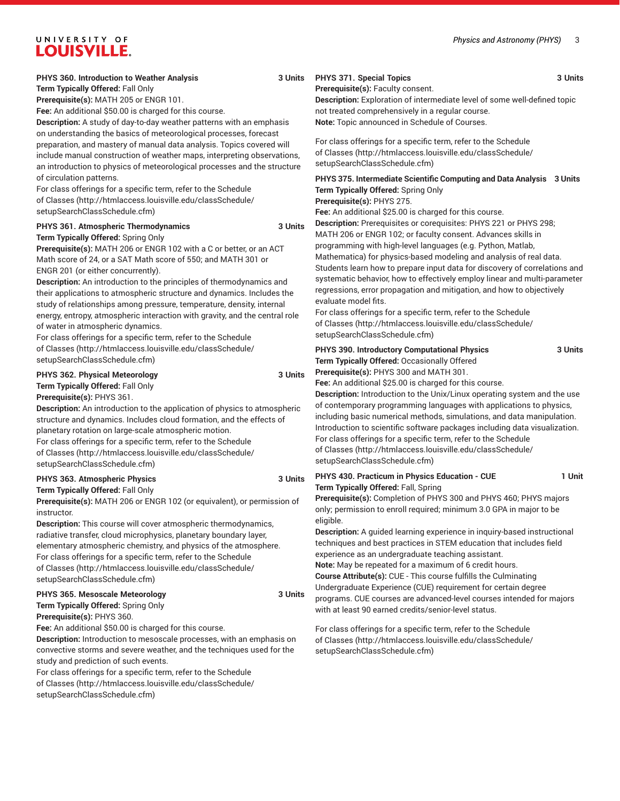#### *Physics and Astronomy (PHYS)* 3

# UNIVERSITY OF **LOUISVILLE.**

# **PHYS 360. Introduction to Weather Analysis 3 Units**

**Term Typically Offered:** Fall Only

**Prerequisite(s):** MATH 205 or ENGR 101.

**Fee:** An additional \$50.00 is charged for this course.

**Description:** A study of day-to-day weather patterns with an emphasis on understanding the basics of meteorological processes, forecast preparation, and mastery of manual data analysis. Topics covered will include manual construction of weather maps, interpreting observations, an introduction to physics of meteorological processes and the structure of circulation patterns.

For class offerings for a specific term, refer to the [Schedule](http://htmlaccess.louisville.edu/classSchedule/setupSearchClassSchedule.cfm) [of Classes \(http://htmlaccess.louisville.edu/classSchedule/](http://htmlaccess.louisville.edu/classSchedule/setupSearchClassSchedule.cfm) [setupSearchClassSchedule.cfm\)](http://htmlaccess.louisville.edu/classSchedule/setupSearchClassSchedule.cfm)

## **PHYS 361. Atmospheric Thermodynamics 3 Units**

**Term Typically Offered:** Spring Only

**Prerequisite(s):** MATH 206 or ENGR 102 with a C or better, or an ACT Math score of 24, or a SAT Math score of 550; and MATH 301 or ENGR 201 (or either concurrently).

**Description:** An introduction to the principles of thermodynamics and their applications to atmospheric structure and dynamics. Includes the study of relationships among pressure, temperature, density, internal energy, entropy, atmospheric interaction with gravity, and the central role of water in atmospheric dynamics.

For class offerings for a specific term, refer to the [Schedule](http://htmlaccess.louisville.edu/classSchedule/setupSearchClassSchedule.cfm) [of Classes \(http://htmlaccess.louisville.edu/classSchedule/](http://htmlaccess.louisville.edu/classSchedule/setupSearchClassSchedule.cfm) [setupSearchClassSchedule.cfm\)](http://htmlaccess.louisville.edu/classSchedule/setupSearchClassSchedule.cfm)

# **PHYS 362. Physical Meteorology 3 Units**

**Term Typically Offered:** Fall Only

**Prerequisite(s):** PHYS 361.

**Description:** An introduction to the application of physics to atmospheric structure and dynamics. Includes cloud formation, and the effects of planetary rotation on large-scale atmospheric motion. For class offerings for a specific term, refer to the [Schedule](http://htmlaccess.louisville.edu/classSchedule/setupSearchClassSchedule.cfm) [of Classes \(http://htmlaccess.louisville.edu/classSchedule/](http://htmlaccess.louisville.edu/classSchedule/setupSearchClassSchedule.cfm) [setupSearchClassSchedule.cfm\)](http://htmlaccess.louisville.edu/classSchedule/setupSearchClassSchedule.cfm)

# **PHYS 363. Atmospheric Physics 3 Units**

**Term Typically Offered:** Fall Only

**Prerequisite(s):** MATH 206 or ENGR 102 (or equivalent), or permission of instructor.

**Description:** This course will cover atmospheric thermodynamics, radiative transfer, cloud microphysics, planetary boundary layer, elementary atmospheric chemistry, and physics of the atmosphere. For class offerings for a specific term, refer to the [Schedule](http://htmlaccess.louisville.edu/classSchedule/setupSearchClassSchedule.cfm) [of Classes \(http://htmlaccess.louisville.edu/classSchedule/](http://htmlaccess.louisville.edu/classSchedule/setupSearchClassSchedule.cfm) [setupSearchClassSchedule.cfm\)](http://htmlaccess.louisville.edu/classSchedule/setupSearchClassSchedule.cfm)

#### **PHYS 365. Mesoscale Meteorology 3 Units**

**Term Typically Offered:** Spring Only

**Prerequisite(s):** PHYS 360.

**Fee:** An additional \$50.00 is charged for this course.

**Description:** Introduction to mesoscale processes, with an emphasis on convective storms and severe weather, and the techniques used for the study and prediction of such events.

For class offerings for a specific term, refer to the [Schedule](http://htmlaccess.louisville.edu/classSchedule/setupSearchClassSchedule.cfm) [of Classes \(http://htmlaccess.louisville.edu/classSchedule/](http://htmlaccess.louisville.edu/classSchedule/setupSearchClassSchedule.cfm) [setupSearchClassSchedule.cfm\)](http://htmlaccess.louisville.edu/classSchedule/setupSearchClassSchedule.cfm)

# **PHYS 371. Special Topics 3 Units**

**Prerequisite(s):** Faculty consent.

**Description:** Exploration of intermediate level of some well-defined topic not treated comprehensively in a regular course. **Note:** Topic announced in Schedule of Courses.

For class offerings for a specific term, refer to the [Schedule](http://htmlaccess.louisville.edu/classSchedule/setupSearchClassSchedule.cfm) [of Classes](http://htmlaccess.louisville.edu/classSchedule/setupSearchClassSchedule.cfm) ([http://htmlaccess.louisville.edu/classSchedule/](http://htmlaccess.louisville.edu/classSchedule/setupSearchClassSchedule.cfm) [setupSearchClassSchedule.cfm\)](http://htmlaccess.louisville.edu/classSchedule/setupSearchClassSchedule.cfm)

# **PHYS 375. Intermediate Scientific Computing and Data Analysis 3 Units Term Typically Offered:** Spring Only

**Prerequisite(s):** PHYS 275.

**Fee:** An additional \$25.00 is charged for this course.

**Description:** Prerequisites or corequisites: PHYS 221 or PHYS 298; MATH 206 or ENGR 102; or faculty consent. Advances skills in programming with high-level languages (e.g. Python, Matlab, Mathematica) for physics-based modeling and analysis of real data. Students learn how to prepare input data for discovery of correlations and systematic behavior, how to effectively employ linear and multi-parameter regressions, error propagation and mitigation, and how to objectively evaluate model fits.

For class offerings for a specific term, refer to the [Schedule](http://htmlaccess.louisville.edu/classSchedule/setupSearchClassSchedule.cfm) [of Classes](http://htmlaccess.louisville.edu/classSchedule/setupSearchClassSchedule.cfm) ([http://htmlaccess.louisville.edu/classSchedule/](http://htmlaccess.louisville.edu/classSchedule/setupSearchClassSchedule.cfm) [setupSearchClassSchedule.cfm\)](http://htmlaccess.louisville.edu/classSchedule/setupSearchClassSchedule.cfm)

**PHYS 390. Introductory Computational Physics 3 Units Term Typically Offered:** Occasionally Offered **Prerequisite(s):** PHYS 300 and MATH 301.

**Fee:** An additional \$25.00 is charged for this course.

**Description:** Introduction to the Unix/Linux operating system and the use of contemporary programming languages with applications to physics, including basic numerical methods, simulations, and data manipulation. Introduction to scientific software packages including data visualization. For class offerings for a specific term, refer to the [Schedule](http://htmlaccess.louisville.edu/classSchedule/setupSearchClassSchedule.cfm) [of Classes](http://htmlaccess.louisville.edu/classSchedule/setupSearchClassSchedule.cfm) ([http://htmlaccess.louisville.edu/classSchedule/](http://htmlaccess.louisville.edu/classSchedule/setupSearchClassSchedule.cfm) [setupSearchClassSchedule.cfm\)](http://htmlaccess.louisville.edu/classSchedule/setupSearchClassSchedule.cfm)

**PHYS 430. Practicum in Physics Education - CUE 1 Unit Term Typically Offered:** Fall, Spring

**Prerequisite(s):** Completion of PHYS 300 and PHYS 460; PHYS majors only; permission to enroll required; minimum 3.0 GPA in major to be eligible.

**Description:** A guided learning experience in inquiry-based instructional techniques and best practices in STEM education that includes field experience as an undergraduate teaching assistant. **Note:** May be repeated for a maximum of 6 credit hours. **Course Attribute(s):** CUE - This course fulfills the Culminating Undergraduate Experience (CUE) requirement for certain degree programs. CUE courses are advanced-level courses intended for majors with at least 90 earned credits/senior-level status.

For class offerings for a specific term, refer to the [Schedule](http://htmlaccess.louisville.edu/classSchedule/setupSearchClassSchedule.cfm) [of Classes](http://htmlaccess.louisville.edu/classSchedule/setupSearchClassSchedule.cfm) ([http://htmlaccess.louisville.edu/classSchedule/](http://htmlaccess.louisville.edu/classSchedule/setupSearchClassSchedule.cfm) [setupSearchClassSchedule.cfm\)](http://htmlaccess.louisville.edu/classSchedule/setupSearchClassSchedule.cfm)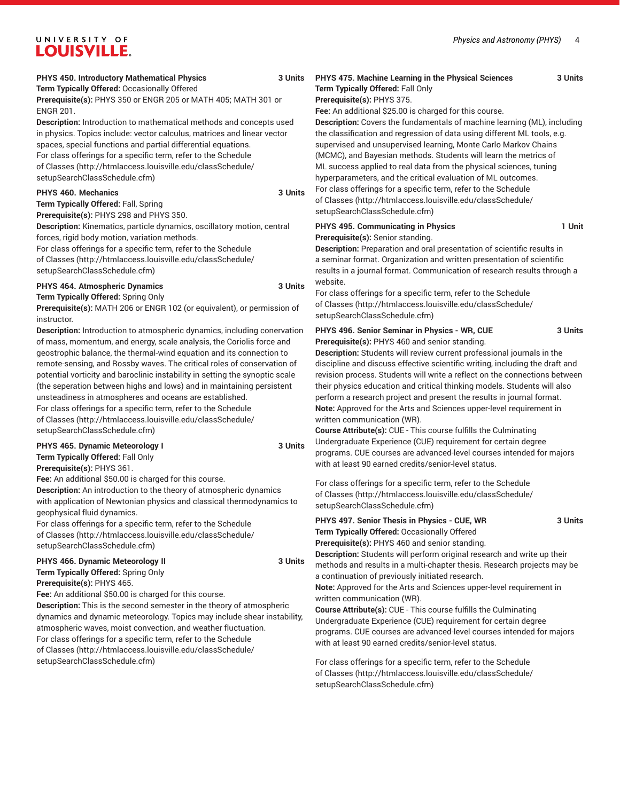# UNIVERSITY OF **LOUISVILLE.**

# **PHYS 450. Introductory Mathematical Physics 3 Units**

**Term Typically Offered:** Occasionally Offered **Prerequisite(s):** PHYS 350 or ENGR 205 or MATH 405; MATH 301 or ENGR 201.

**Description:** Introduction to mathematical methods and concepts used in physics. Topics include: vector calculus, matrices and linear vector spaces, special functions and partial differential equations.

For class offerings for a specific term, refer to the [Schedule](http://htmlaccess.louisville.edu/classSchedule/setupSearchClassSchedule.cfm) [of Classes \(http://htmlaccess.louisville.edu/classSchedule/](http://htmlaccess.louisville.edu/classSchedule/setupSearchClassSchedule.cfm) [setupSearchClassSchedule.cfm\)](http://htmlaccess.louisville.edu/classSchedule/setupSearchClassSchedule.cfm)

### **PHYS 460. Mechanics 3 Units**

**Term Typically Offered:** Fall, Spring

**Prerequisite(s):** PHYS 298 and PHYS 350. **Description:** Kinematics, particle dynamics, oscillatory motion, central forces, rigid body motion, variation methods.

For class offerings for a specific term, refer to the [Schedule](http://htmlaccess.louisville.edu/classSchedule/setupSearchClassSchedule.cfm) [of Classes \(http://htmlaccess.louisville.edu/classSchedule/](http://htmlaccess.louisville.edu/classSchedule/setupSearchClassSchedule.cfm) [setupSearchClassSchedule.cfm\)](http://htmlaccess.louisville.edu/classSchedule/setupSearchClassSchedule.cfm)

# **PHYS 464. Atmospheric Dynamics 3 Units**

**Term Typically Offered:** Spring Only

**Prerequisite(s):** MATH 206 or ENGR 102 (or equivalent), or permission of instructor.

**Description:** Introduction to atmospheric dynamics, including conervation of mass, momentum, and energy, scale analysis, the Coriolis force and geostrophic balance, the thermal-wind equation and its connection to remote-sensing, and Rossby waves. The critical roles of conservation of potential vorticity and baroclinic instability in setting the synoptic scale (the seperation between highs and lows) and in maintaining persistent unsteadiness in atmospheres and oceans are established. For class offerings for a specific term, refer to the [Schedule](http://htmlaccess.louisville.edu/classSchedule/setupSearchClassSchedule.cfm) [of Classes \(http://htmlaccess.louisville.edu/classSchedule/](http://htmlaccess.louisville.edu/classSchedule/setupSearchClassSchedule.cfm) [setupSearchClassSchedule.cfm\)](http://htmlaccess.louisville.edu/classSchedule/setupSearchClassSchedule.cfm)

# **PHYS 465. Dynamic Meteorology I 3 Units Term Typically Offered:** Fall Only

**Prerequisite(s):** PHYS 361.

**Fee:** An additional \$50.00 is charged for this course. **Description:** An introduction to the theory of atmospheric dynamics with application of Newtonian physics and classical thermodynamics to geophysical fluid dynamics.

For class offerings for a specific term, refer to the [Schedule](http://htmlaccess.louisville.edu/classSchedule/setupSearchClassSchedule.cfm) [of Classes \(http://htmlaccess.louisville.edu/classSchedule/](http://htmlaccess.louisville.edu/classSchedule/setupSearchClassSchedule.cfm) [setupSearchClassSchedule.cfm\)](http://htmlaccess.louisville.edu/classSchedule/setupSearchClassSchedule.cfm)

## **PHYS 466. Dynamic Meteorology II 3 Units Term Typically Offered:** Spring Only

**Prerequisite(s):** PHYS 465.

**Fee:** An additional \$50.00 is charged for this course. **Description:** This is the second semester in the theory of atmospheric dynamics and dynamic meteorology. Topics may include shear instability, atmospheric waves, moist convection, and weather fluctuation. For class offerings for a specific term, refer to the [Schedule](http://htmlaccess.louisville.edu/classSchedule/setupSearchClassSchedule.cfm) [of Classes \(http://htmlaccess.louisville.edu/classSchedule/](http://htmlaccess.louisville.edu/classSchedule/setupSearchClassSchedule.cfm) [setupSearchClassSchedule.cfm\)](http://htmlaccess.louisville.edu/classSchedule/setupSearchClassSchedule.cfm)

# **PHYS 475. Machine Learning in the Physical Sciences 3 Units**

## **Term Typically Offered:** Fall Only **Prerequisite(s):** PHYS 375.

**Fee:** An additional \$25.00 is charged for this course.

**Description:** Covers the fundamentals of machine learning (ML), including the classification and regression of data using different ML tools, e.g. supervised and unsupervised learning, Monte Carlo Markov Chains (MCMC), and Bayesian methods. Students will learn the metrics of ML success applied to real data from the physical sciences, tuning hyperparameters, and the critical evaluation of ML outcomes. For class offerings for a specific term, refer to the [Schedule](http://htmlaccess.louisville.edu/classSchedule/setupSearchClassSchedule.cfm)

[of Classes](http://htmlaccess.louisville.edu/classSchedule/setupSearchClassSchedule.cfm) ([http://htmlaccess.louisville.edu/classSchedule/](http://htmlaccess.louisville.edu/classSchedule/setupSearchClassSchedule.cfm) [setupSearchClassSchedule.cfm\)](http://htmlaccess.louisville.edu/classSchedule/setupSearchClassSchedule.cfm)

### **PHYS 495. Communicating in Physics 1 Unit Prerequisite(s):** Senior standing.

**Description:** Preparation and oral presentation of scientific results in a seminar format. Organization and written presentation of scientific results in a journal format. Communication of research results through a website.

For class offerings for a specific term, refer to the [Schedule](http://htmlaccess.louisville.edu/classSchedule/setupSearchClassSchedule.cfm) [of Classes](http://htmlaccess.louisville.edu/classSchedule/setupSearchClassSchedule.cfm) ([http://htmlaccess.louisville.edu/classSchedule/](http://htmlaccess.louisville.edu/classSchedule/setupSearchClassSchedule.cfm) [setupSearchClassSchedule.cfm\)](http://htmlaccess.louisville.edu/classSchedule/setupSearchClassSchedule.cfm)

#### **PHYS 496. Senior Seminar in Physics - WR, CUE 3 Units Prerequisite(s):** PHYS 460 and senior standing.

**Description:** Students will review current professional journals in the discipline and discuss effective scientific writing, including the draft and revision process. Students will write a reflect on the connections between their physics education and critical thinking models. Students will also perform a research project and present the results in journal format. **Note:** Approved for the Arts and Sciences upper-level requirement in written communication (WR).

**Course Attribute(s):** CUE - This course fulfills the Culminating Undergraduate Experience (CUE) requirement for certain degree programs. CUE courses are advanced-level courses intended for majors with at least 90 earned credits/senior-level status.

For class offerings for a specific term, refer to the [Schedule](http://htmlaccess.louisville.edu/classSchedule/setupSearchClassSchedule.cfm) [of Classes](http://htmlaccess.louisville.edu/classSchedule/setupSearchClassSchedule.cfm) ([http://htmlaccess.louisville.edu/classSchedule/](http://htmlaccess.louisville.edu/classSchedule/setupSearchClassSchedule.cfm) [setupSearchClassSchedule.cfm\)](http://htmlaccess.louisville.edu/classSchedule/setupSearchClassSchedule.cfm)

**PHYS 497. Senior Thesis in Physics - CUE, WR 3 Units Term Typically Offered:** Occasionally Offered **Prerequisite(s):** PHYS 460 and senior standing. **Description:** Students will perform original research and write up their

methods and results in a multi-chapter thesis. Research projects may be a continuation of previously initiated research.

**Note:** Approved for the Arts and Sciences upper-level requirement in written communication (WR).

**Course Attribute(s):** CUE - This course fulfills the Culminating Undergraduate Experience (CUE) requirement for certain degree programs. CUE courses are advanced-level courses intended for majors with at least 90 earned credits/senior-level status.

For class offerings for a specific term, refer to the [Schedule](http://htmlaccess.louisville.edu/classSchedule/setupSearchClassSchedule.cfm) [of Classes](http://htmlaccess.louisville.edu/classSchedule/setupSearchClassSchedule.cfm) ([http://htmlaccess.louisville.edu/classSchedule/](http://htmlaccess.louisville.edu/classSchedule/setupSearchClassSchedule.cfm) [setupSearchClassSchedule.cfm\)](http://htmlaccess.louisville.edu/classSchedule/setupSearchClassSchedule.cfm)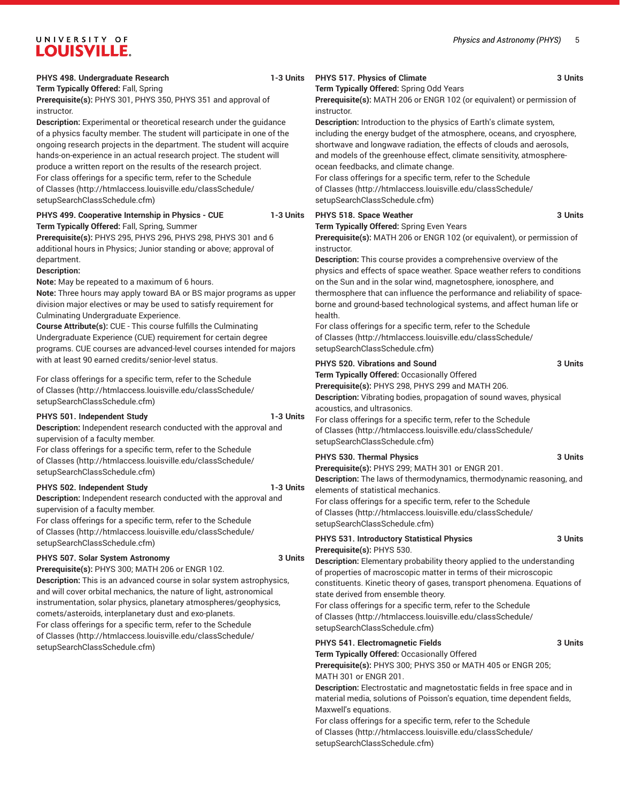# UNIVERSITY OF **LOUISVILLE.**

# **PHYS 498. Undergraduate Research 1-3 Units**

# **PHYS 517. Physics of Climate 3 Units**

**Term Typically Offered:** Spring Odd Years

**Prerequisite(s):** MATH 206 or ENGR 102 (or equivalent) or permission of instructor.

**Description:** Introduction to the physics of Earth's climate system, including the energy budget of the atmosphere, oceans, and cryosphere, shortwave and longwave radiation, the effects of clouds and aerosols, and models of the greenhouse effect, climate sensitivity, atmosphereocean feedbacks, and climate change.

For class offerings for a specific term, refer to the [Schedule](http://htmlaccess.louisville.edu/classSchedule/setupSearchClassSchedule.cfm) [of Classes](http://htmlaccess.louisville.edu/classSchedule/setupSearchClassSchedule.cfm) ([http://htmlaccess.louisville.edu/classSchedule/](http://htmlaccess.louisville.edu/classSchedule/setupSearchClassSchedule.cfm) [setupSearchClassSchedule.cfm\)](http://htmlaccess.louisville.edu/classSchedule/setupSearchClassSchedule.cfm)

#### **PHYS 518. Space Weather 3 Units**

**Term Typically Offered:** Spring Even Years

**Prerequisite(s):** MATH 206 or ENGR 102 (or equivalent), or permission of instructor.

**Description:** This course provides a comprehensive overview of the physics and effects of space weather. Space weather refers to conditions on the Sun and in the solar wind, magnetosphere, ionosphere, and thermosphere that can influence the performance and reliability of spaceborne and ground-based technological systems, and affect human life or health.

For class offerings for a specific term, refer to the [Schedule](http://htmlaccess.louisville.edu/classSchedule/setupSearchClassSchedule.cfm) [of Classes](http://htmlaccess.louisville.edu/classSchedule/setupSearchClassSchedule.cfm) ([http://htmlaccess.louisville.edu/classSchedule/](http://htmlaccess.louisville.edu/classSchedule/setupSearchClassSchedule.cfm) [setupSearchClassSchedule.cfm\)](http://htmlaccess.louisville.edu/classSchedule/setupSearchClassSchedule.cfm)

# **PHYS 520. Vibrations and Sound 3 Units**

**Term Typically Offered:** Occasionally Offered

**Prerequisite(s):** PHYS 298, PHYS 299 and MATH 206.

**Description:** Vibrating bodies, propagation of sound waves, physical acoustics, and ultrasonics.

[of Classes](http://htmlaccess.louisville.edu/classSchedule/setupSearchClassSchedule.cfm) ([http://htmlaccess.louisville.edu/classSchedule/](http://htmlaccess.louisville.edu/classSchedule/setupSearchClassSchedule.cfm) [setupSearchClassSchedule.cfm\)](http://htmlaccess.louisville.edu/classSchedule/setupSearchClassSchedule.cfm)

**Description:** The laws of thermodynamics, thermodynamic reasoning, and elements of statistical mechanics.

For class offerings for a specific term, refer to the [Schedule](http://htmlaccess.louisville.edu/classSchedule/setupSearchClassSchedule.cfm) [of Classes](http://htmlaccess.louisville.edu/classSchedule/setupSearchClassSchedule.cfm) ([http://htmlaccess.louisville.edu/classSchedule/](http://htmlaccess.louisville.edu/classSchedule/setupSearchClassSchedule.cfm) [setupSearchClassSchedule.cfm\)](http://htmlaccess.louisville.edu/classSchedule/setupSearchClassSchedule.cfm)

**PHYS 531. Introductory Statistical Physics 3 Units Prerequisite(s):** PHYS 530.

**Description:** Elementary probability theory applied to the understanding of properties of macroscopic matter in terms of their microscopic constituents. Kinetic theory of gases, transport phenomena. Equations of state derived from ensemble theory.

For class offerings for a specific term, refer to the [Schedule](http://htmlaccess.louisville.edu/classSchedule/setupSearchClassSchedule.cfm) [of Classes](http://htmlaccess.louisville.edu/classSchedule/setupSearchClassSchedule.cfm) ([http://htmlaccess.louisville.edu/classSchedule/](http://htmlaccess.louisville.edu/classSchedule/setupSearchClassSchedule.cfm) [setupSearchClassSchedule.cfm\)](http://htmlaccess.louisville.edu/classSchedule/setupSearchClassSchedule.cfm)

## **PHYS 541. Electromagnetic Fields 3 Units**

**Term Typically Offered:** Occasionally Offered

**Prerequisite(s):** PHYS 300; PHYS 350 or MATH 405 or ENGR 205; MATH 301 or ENGR 201.

**Description:** Electrostatic and magnetostatic fields in free space and in material media, solutions of Poisson's equation, time dependent fields, Maxwell's equations.

For class offerings for a specific term, refer to the [Schedule](http://htmlaccess.louisville.edu/classSchedule/setupSearchClassSchedule.cfm) [of Classes](http://htmlaccess.louisville.edu/classSchedule/setupSearchClassSchedule.cfm) ([http://htmlaccess.louisville.edu/classSchedule/](http://htmlaccess.louisville.edu/classSchedule/setupSearchClassSchedule.cfm) [setupSearchClassSchedule.cfm\)](http://htmlaccess.louisville.edu/classSchedule/setupSearchClassSchedule.cfm)

**Term Typically Offered:** Fall, Spring **Prerequisite(s):** PHYS 301, PHYS 350, PHYS 351 and approval of instructor.

**Description:** Experimental or theoretical research under the guidance of a physics faculty member. The student will participate in one of the ongoing research projects in the department. The student will acquire hands-on-experience in an actual research project. The student will produce a written report on the results of the research project. For class offerings for a specific term, refer to the [Schedule](http://htmlaccess.louisville.edu/classSchedule/setupSearchClassSchedule.cfm) [of Classes \(http://htmlaccess.louisville.edu/classSchedule/](http://htmlaccess.louisville.edu/classSchedule/setupSearchClassSchedule.cfm) [setupSearchClassSchedule.cfm\)](http://htmlaccess.louisville.edu/classSchedule/setupSearchClassSchedule.cfm)

# **PHYS 499. Cooperative Internship in Physics - CUE 1-3 Units Term Typically Offered:** Fall, Spring, Summer

**Prerequisite(s):** PHYS 295, PHYS 296, PHYS 298, PHYS 301 and 6 additional hours in Physics; Junior standing or above; approval of department.

# **Description:**

**Note:** May be repeated to a maximum of 6 hours.

**Note:** Three hours may apply toward BA or BS major programs as upper division major electives or may be used to satisfy requirement for Culminating Undergraduate Experience.

**Course Attribute(s):** CUE - This course fulfills the Culminating Undergraduate Experience (CUE) requirement for certain degree programs. CUE courses are advanced-level courses intended for majors with at least 90 earned credits/senior-level status.

For class offerings for a specific term, refer to the [Schedule](http://htmlaccess.louisville.edu/classSchedule/setupSearchClassSchedule.cfm) [of Classes \(http://htmlaccess.louisville.edu/classSchedule/](http://htmlaccess.louisville.edu/classSchedule/setupSearchClassSchedule.cfm) [setupSearchClassSchedule.cfm\)](http://htmlaccess.louisville.edu/classSchedule/setupSearchClassSchedule.cfm)

# **PHYS 501. Independent Study 1-3 Units**

**Description:** Independent research conducted with the approval and supervision of a faculty member. For class offerings for a specific term, refer to the [Schedule](http://htmlaccess.louisville.edu/classSchedule/setupSearchClassSchedule.cfm)

[of Classes \(http://htmlaccess.louisville.edu/classSchedule/](http://htmlaccess.louisville.edu/classSchedule/setupSearchClassSchedule.cfm) [setupSearchClassSchedule.cfm\)](http://htmlaccess.louisville.edu/classSchedule/setupSearchClassSchedule.cfm)

# **PHYS 502. Independent Study 1-3 Units**

**Description:** Independent research conducted with the approval and supervision of a faculty member. For class offerings for a specific term, refer to the [Schedule](http://htmlaccess.louisville.edu/classSchedule/setupSearchClassSchedule.cfm)

[of Classes \(http://htmlaccess.louisville.edu/classSchedule/](http://htmlaccess.louisville.edu/classSchedule/setupSearchClassSchedule.cfm) [setupSearchClassSchedule.cfm\)](http://htmlaccess.louisville.edu/classSchedule/setupSearchClassSchedule.cfm)

# **PHYS 507. Solar System Astronomy 3 Units**

**Prerequisite(s):** PHYS 300; MATH 206 or ENGR 102.

**Description:** This is an advanced course in solar system astrophysics, and will cover orbital mechanics, the nature of light, astronomical instrumentation, solar physics, planetary atmospheres/geophysics, comets/asteroids, interplanetary dust and exo-planets. For class offerings for a specific term, refer to the [Schedule](http://htmlaccess.louisville.edu/classSchedule/setupSearchClassSchedule.cfm) [of Classes \(http://htmlaccess.louisville.edu/classSchedule/](http://htmlaccess.louisville.edu/classSchedule/setupSearchClassSchedule.cfm) [setupSearchClassSchedule.cfm\)](http://htmlaccess.louisville.edu/classSchedule/setupSearchClassSchedule.cfm)

For class offerings for a specific term, refer to the [Schedule](http://htmlaccess.louisville.edu/classSchedule/setupSearchClassSchedule.cfm)

# **PHYS 530. Thermal Physics 3 Units Prerequisite(s):** PHYS 299; MATH 301 or ENGR 201.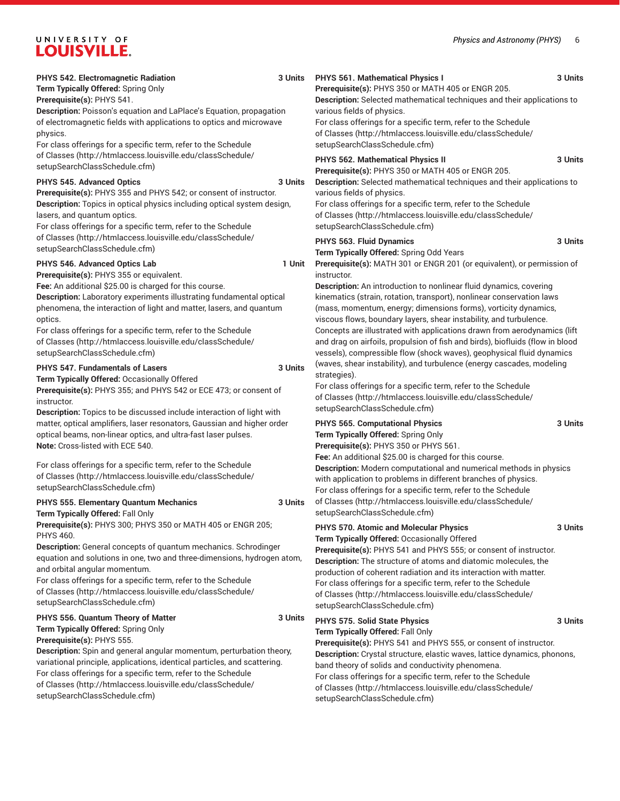# UNIVERSITY OF LOUISVILLE.

| PHYS 542. Electromagnetic Radiation                                                                                                                                                                                                                                                                                                                                                                                               | 3 Units | PHYS 561. Mathematical Physics I                                                                                                                                                                                                                                                                                                                                                                                                                                                                                           | 3 Units |
|-----------------------------------------------------------------------------------------------------------------------------------------------------------------------------------------------------------------------------------------------------------------------------------------------------------------------------------------------------------------------------------------------------------------------------------|---------|----------------------------------------------------------------------------------------------------------------------------------------------------------------------------------------------------------------------------------------------------------------------------------------------------------------------------------------------------------------------------------------------------------------------------------------------------------------------------------------------------------------------------|---------|
| Term Typically Offered: Spring Only                                                                                                                                                                                                                                                                                                                                                                                               |         | Prerequisite(s): PHYS 350 or MATH 405 or ENGR 205.                                                                                                                                                                                                                                                                                                                                                                                                                                                                         |         |
| Prerequisite(s): PHYS 541.<br>Description: Poisson's equation and LaPlace's Equation, propagation<br>of electromagnetic fields with applications to optics and microwave<br>physics.<br>For class offerings for a specific term, refer to the Schedule                                                                                                                                                                            |         | Description: Selected mathematical techniques and their applications to<br>various fields of physics.<br>For class offerings for a specific term, refer to the Schedule<br>of Classes (http://htmlaccess.louisville.edu/classSchedule/<br>setupSearchClassSchedule.cfm)                                                                                                                                                                                                                                                    |         |
| of Classes (http://htmlaccess.louisville.edu/classSchedule/<br>setupSearchClassSchedule.cfm)                                                                                                                                                                                                                                                                                                                                      |         | PHYS 562. Mathematical Physics II<br>Prerequisite(s): PHYS 350 or MATH 405 or ENGR 205.                                                                                                                                                                                                                                                                                                                                                                                                                                    | 3 Units |
| PHYS 545. Advanced Optics<br>Prerequisite(s): PHYS 355 and PHYS 542; or consent of instructor.<br>Description: Topics in optical physics including optical system design,<br>lasers, and quantum optics.<br>For class offerings for a specific term, refer to the Schedule<br>of Classes (http://htmlaccess.louisville.edu/classSchedule/                                                                                         | 3 Units | Description: Selected mathematical techniques and their applications to<br>various fields of physics.<br>For class offerings for a specific term, refer to the Schedule<br>of Classes (http://htmlaccess.louisville.edu/classSchedule/<br>setupSearchClassSchedule.cfm)<br>PHYS 563. Fluid Dynamics                                                                                                                                                                                                                        | 3 Units |
| setupSearchClassSchedule.cfm)                                                                                                                                                                                                                                                                                                                                                                                                     |         | Term Typically Offered: Spring Odd Years                                                                                                                                                                                                                                                                                                                                                                                                                                                                                   |         |
| PHYS 546. Advanced Optics Lab<br>Prerequisite(s): PHYS 355 or equivalent.                                                                                                                                                                                                                                                                                                                                                         | 1 Unit  | Prerequisite(s): MATH 301 or ENGR 201 (or equivalent), or permission of<br>instructor.                                                                                                                                                                                                                                                                                                                                                                                                                                     |         |
| Fee: An additional \$25.00 is charged for this course.<br>Description: Laboratory experiments illustrating fundamental optical<br>phenomena, the interaction of light and matter, lasers, and quantum<br>optics.<br>For class offerings for a specific term, refer to the Schedule<br>of Classes (http://htmlaccess.louisville.edu/classSchedule/<br>setupSearchClassSchedule.cfm)                                                |         | Description: An introduction to nonlinear fluid dynamics, covering<br>kinematics (strain, rotation, transport), nonlinear conservation laws<br>(mass, momentum, energy; dimensions forms), vorticity dynamics,<br>viscous flows, boundary layers, shear instability, and turbulence.<br>Concepts are illustrated with applications drawn from aerodynamics (lift<br>and drag on airfoils, propulsion of fish and birds), biofluids (flow in blood<br>vessels), compressible flow (shock waves), geophysical fluid dynamics |         |
| <b>PHYS 547. Fundamentals of Lasers</b><br>Term Typically Offered: Occasionally Offered<br>Prerequisite(s): PHYS 355; and PHYS 542 or ECE 473; or consent of<br>instructor.<br>Description: Topics to be discussed include interaction of light with                                                                                                                                                                              | 3 Units | (waves, shear instability), and turbulence (energy cascades, modeling<br>strategies).<br>For class offerings for a specific term, refer to the Schedule<br>of Classes (http://htmlaccess.louisville.edu/classSchedule/<br>setupSearchClassSchedule.cfm)                                                                                                                                                                                                                                                                    |         |
| matter, optical amplifiers, laser resonators, Gaussian and higher order<br>optical beams, non-linear optics, and ultra-fast laser pulses.<br><b>Note:</b> Cross-listed with ECE 540.                                                                                                                                                                                                                                              |         | PHYS 565. Computational Physics<br>Term Typically Offered: Spring Only<br>Prerequisite(s): PHYS 350 or PHYS 561.                                                                                                                                                                                                                                                                                                                                                                                                           | 3 Units |
| For class offerings for a specific term, refer to the Schedule<br>of Classes (http://htmlaccess.louisville.edu/classSchedule/<br>setupSearchClassSchedule.cfm)                                                                                                                                                                                                                                                                    |         | Fee: An additional \$25.00 is charged for this course.<br>Description: Modern computational and numerical methods in physics<br>with application to problems in different branches of physics.<br>For class offerings for a specific term, refer to the Schedule                                                                                                                                                                                                                                                           |         |
| PHYS 555. Elementary Quantum Mechanics<br>Term Typically Offered: Fall Only                                                                                                                                                                                                                                                                                                                                                       | 3 Units | of Classes (http://htmlaccess.louisville.edu/classSchedule/<br>setupSearchClassSchedule.cfm)                                                                                                                                                                                                                                                                                                                                                                                                                               |         |
| Prerequisite(s): PHYS 300; PHYS 350 or MATH 405 or ENGR 205;<br><b>PHYS 460.</b><br>Description: General concepts of quantum mechanics. Schrodinger<br>equation and solutions in one, two and three-dimensions, hydrogen atom,<br>and orbital angular momentum.<br>For class offerings for a specific term, refer to the Schedule<br>of Classes (http://htmlaccess.louisville.edu/classSchedule/<br>setupSearchClassSchedule.cfm) |         | <b>PHYS 570. Atomic and Molecular Physics</b><br>Term Typically Offered: Occasionally Offered<br>Prerequisite(s): PHYS 541 and PHYS 555; or consent of instructor.<br>Description: The structure of atoms and diatomic molecules, the<br>production of coherent radiation and its interaction with matter.<br>For class offerings for a specific term, refer to the Schedule<br>of Classes (http://htmlaccess.louisville.edu/classSchedule/<br>setupSearchClassSchedule.cfm)                                               | 3 Units |
| PHYS 556. Quantum Theory of Matter<br>Term Typically Offered: Spring Only                                                                                                                                                                                                                                                                                                                                                         | 3 Units | PHYS 575. Solid State Physics<br>Term Typically Offered: Fall Only                                                                                                                                                                                                                                                                                                                                                                                                                                                         | 3 Units |
| Prerequisite(s): PHYS 555.<br>Description: Spin and general angular momentum, perturbation theory,<br>variational principle, applications, identical particles, and scattering.<br>For class offerings for a specific term, refer to the Schedule<br>of Classes (http://htmlaccess.louisville.edu/classSchedule/<br>setupSearchClassSchedule.cfm)                                                                                 |         | Prerequisite(s): PHYS 541 and PHYS 555, or consent of instructor.<br>Description: Crystal structure, elastic waves, lattice dynamics, phonons,<br>band theory of solids and conductivity phenomena.<br>For class offerings for a specific term, refer to the Schedule<br>of Classes (http://htmlaccess.louisville.edu/classSchedule/<br>setupSearchClassSchedule.cfm)                                                                                                                                                      |         |